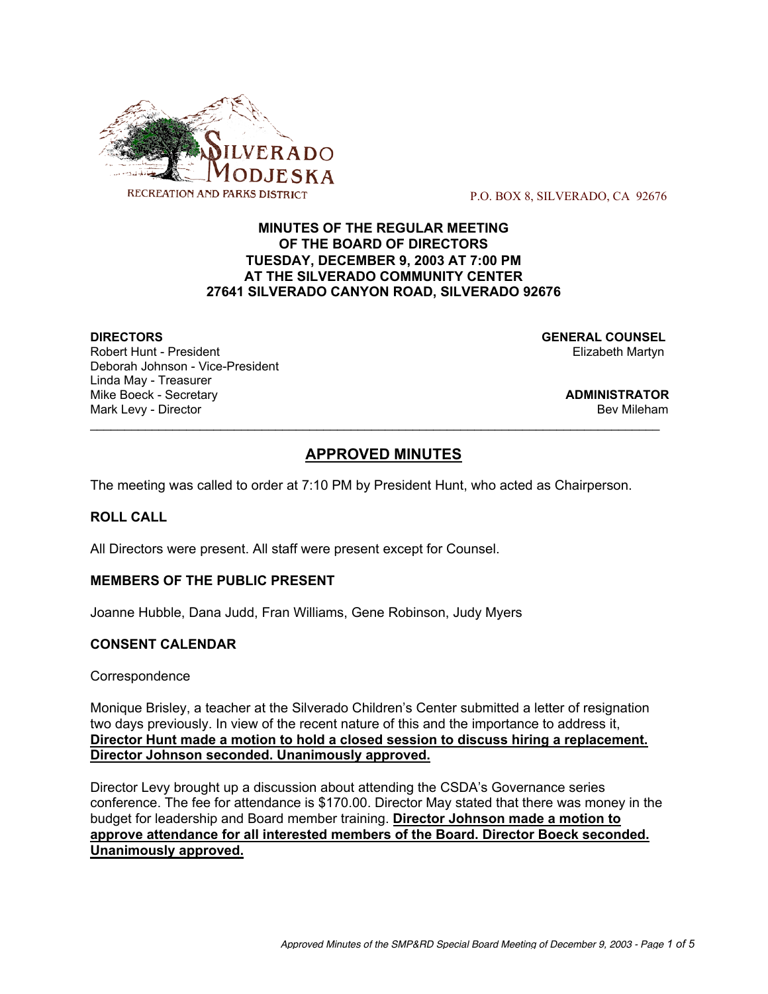

P.O. BOX 8, SILVERADO, CA 92676

## **MINUTES OF THE REGULAR MEETING OF THE BOARD OF DIRECTORS TUESDAY, DECEMBER 9, 2003 AT 7:00 PM AT THE SILVERADO COMMUNITY CENTER 27641 SILVERADO CANYON ROAD, SILVERADO 92676**

Robert Hunt - President Elizabeth Martyn Deborah Johnson - Vice-President Linda May - Treasurer Mike Boeck - Secretary **ADMINISTRATOR** Mark Levy - Director **Bev Mileham Mark Levy - Director** Bev Mileham

**DIRECTORS GENERAL COUNSEL**

# **APPROVED MINUTES**

 $\mathcal{L}_\text{max} = \frac{1}{2} \sum_{i=1}^{n} \frac{1}{2} \sum_{i=1}^{n} \frac{1}{2} \sum_{i=1}^{n} \frac{1}{2} \sum_{i=1}^{n} \frac{1}{2} \sum_{i=1}^{n} \frac{1}{2} \sum_{i=1}^{n} \frac{1}{2} \sum_{i=1}^{n} \frac{1}{2} \sum_{i=1}^{n} \frac{1}{2} \sum_{i=1}^{n} \frac{1}{2} \sum_{i=1}^{n} \frac{1}{2} \sum_{i=1}^{n} \frac{1}{2} \sum_{i=1}^{n} \frac{1$ 

The meeting was called to order at 7:10 PM by President Hunt, who acted as Chairperson.

## **ROLL CALL**

All Directors were present. All staff were present except for Counsel.

## **MEMBERS OF THE PUBLIC PRESENT**

Joanne Hubble, Dana Judd, Fran Williams, Gene Robinson, Judy Myers

## **CONSENT CALENDAR**

**Correspondence** 

Monique Brisley, a teacher at the Silverado Children's Center submitted a letter of resignation two days previously. In view of the recent nature of this and the importance to address it, **Director Hunt made a motion to hold a closed session to discuss hiring a replacement. Director Johnson seconded. Unanimously approved.**

Director Levy brought up a discussion about attending the CSDA's Governance series conference. The fee for attendance is \$170.00. Director May stated that there was money in the budget for leadership and Board member training. **Director Johnson made a motion to approve attendance for all interested members of the Board. Director Boeck seconded. Unanimously approved.**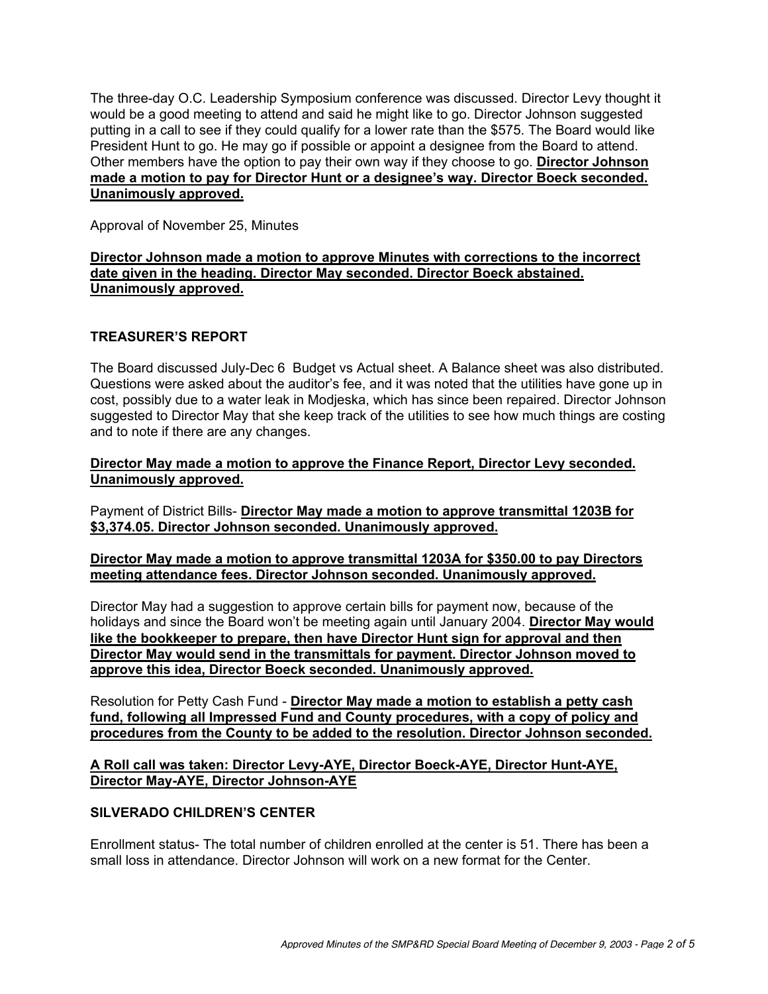The three-day O.C. Leadership Symposium conference was discussed. Director Levy thought it would be a good meeting to attend and said he might like to go. Director Johnson suggested putting in a call to see if they could qualify for a lower rate than the \$575. The Board would like President Hunt to go. He may go if possible or appoint a designee from the Board to attend. Other members have the option to pay their own way if they choose to go. **Director Johnson made a motion to pay for Director Hunt or a designee's way. Director Boeck seconded. Unanimously approved.**

Approval of November 25, Minutes

## **Director Johnson made a motion to approve Minutes with corrections to the incorrect date given in the heading. Director May seconded. Director Boeck abstained. Unanimously approved.**

## **TREASURER'S REPORT**

The Board discussed July-Dec 6 Budget vs Actual sheet. A Balance sheet was also distributed. Questions were asked about the auditor's fee, and it was noted that the utilities have gone up in cost, possibly due to a water leak in Modjeska, which has since been repaired. Director Johnson suggested to Director May that she keep track of the utilities to see how much things are costing and to note if there are any changes.

## **Director May made a motion to approve the Finance Report, Director Levy seconded. Unanimously approved.**

Payment of District Bills- **Director May made a motion to approve transmittal 1203B for \$3,374.05. Director Johnson seconded. Unanimously approved.**

## **Director May made a motion to approve transmittal 1203A for \$350.00 to pay Directors meeting attendance fees. Director Johnson seconded. Unanimously approved.**

Director May had a suggestion to approve certain bills for payment now, because of the holidays and since the Board won't be meeting again until January 2004. **Director May would like the bookkeeper to prepare, then have Director Hunt sign for approval and then Director May would send in the transmittals for payment. Director Johnson moved to approve this idea, Director Boeck seconded. Unanimously approved.**

Resolution for Petty Cash Fund - **Director May made a motion to establish a petty cash fund, following all Impressed Fund and County procedures, with a copy of policy and procedures from the County to be added to the resolution. Director Johnson seconded.**

## **A Roll call was taken: Director Levy-AYE, Director Boeck-AYE, Director Hunt-AYE, Director May-AYE, Director Johnson-AYE**

## **SILVERADO CHILDREN'S CENTER**

Enrollment status- The total number of children enrolled at the center is 51. There has been a small loss in attendance. Director Johnson will work on a new format for the Center.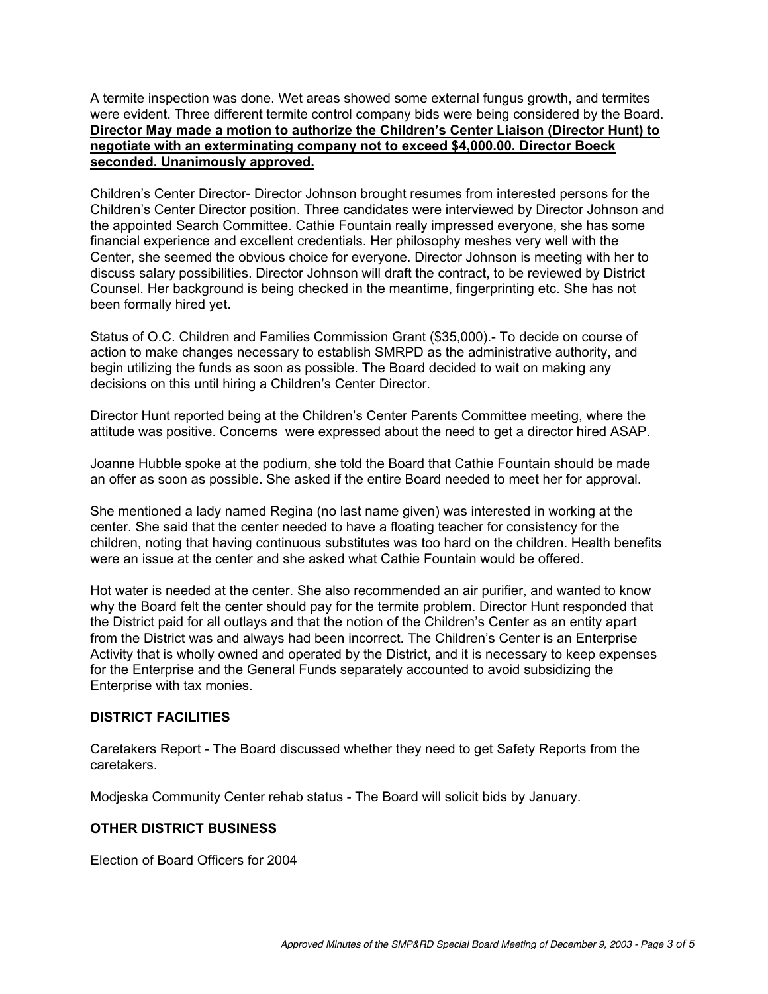A termite inspection was done. Wet areas showed some external fungus growth, and termites were evident. Three different termite control company bids were being considered by the Board. **Director May made a motion to authorize the Children's Center Liaison (Director Hunt) to negotiate with an exterminating company not to exceed \$4,000.00. Director Boeck seconded. Unanimously approved.**

Children's Center Director- Director Johnson brought resumes from interested persons for the Children's Center Director position. Three candidates were interviewed by Director Johnson and the appointed Search Committee. Cathie Fountain really impressed everyone, she has some financial experience and excellent credentials. Her philosophy meshes very well with the Center, she seemed the obvious choice for everyone. Director Johnson is meeting with her to discuss salary possibilities. Director Johnson will draft the contract, to be reviewed by District Counsel. Her background is being checked in the meantime, fingerprinting etc. She has not been formally hired yet.

Status of O.C. Children and Families Commission Grant (\$35,000).- To decide on course of action to make changes necessary to establish SMRPD as the administrative authority, and begin utilizing the funds as soon as possible. The Board decided to wait on making any decisions on this until hiring a Children's Center Director.

Director Hunt reported being at the Children's Center Parents Committee meeting, where the attitude was positive. Concerns were expressed about the need to get a director hired ASAP.

Joanne Hubble spoke at the podium, she told the Board that Cathie Fountain should be made an offer as soon as possible. She asked if the entire Board needed to meet her for approval.

She mentioned a lady named Regina (no last name given) was interested in working at the center. She said that the center needed to have a floating teacher for consistency for the children, noting that having continuous substitutes was too hard on the children. Health benefits were an issue at the center and she asked what Cathie Fountain would be offered.

Hot water is needed at the center. She also recommended an air purifier, and wanted to know why the Board felt the center should pay for the termite problem. Director Hunt responded that the District paid for all outlays and that the notion of the Children's Center as an entity apart from the District was and always had been incorrect. The Children's Center is an Enterprise Activity that is wholly owned and operated by the District, and it is necessary to keep expenses for the Enterprise and the General Funds separately accounted to avoid subsidizing the Enterprise with tax monies.

## **DISTRICT FACILITIES**

Caretakers Report - The Board discussed whether they need to get Safety Reports from the caretakers.

Modjeska Community Center rehab status - The Board will solicit bids by January.

## **OTHER DISTRICT BUSINESS**

Election of Board Officers for 2004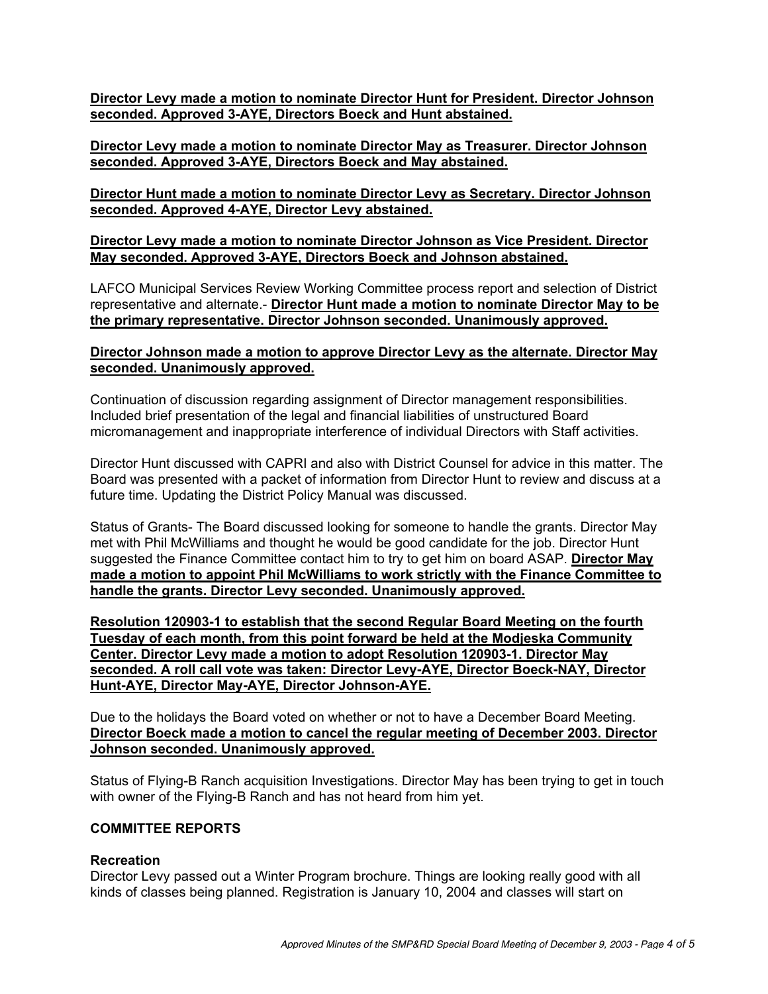**Director Levy made a motion to nominate Director Hunt for President. Director Johnson seconded. Approved 3-AYE, Directors Boeck and Hunt abstained.**

**Director Levy made a motion to nominate Director May as Treasurer. Director Johnson seconded. Approved 3-AYE, Directors Boeck and May abstained.**

**Director Hunt made a motion to nominate Director Levy as Secretary. Director Johnson seconded. Approved 4-AYE, Director Levy abstained.**

**Director Levy made a motion to nominate Director Johnson as Vice President. Director May seconded. Approved 3-AYE, Directors Boeck and Johnson abstained.**

LAFCO Municipal Services Review Working Committee process report and selection of District representative and alternate.- **Director Hunt made a motion to nominate Director May to be the primary representative. Director Johnson seconded. Unanimously approved.**

## **Director Johnson made a motion to approve Director Levy as the alternate. Director May seconded. Unanimously approved.**

Continuation of discussion regarding assignment of Director management responsibilities. Included brief presentation of the legal and financial liabilities of unstructured Board micromanagement and inappropriate interference of individual Directors with Staff activities.

Director Hunt discussed with CAPRI and also with District Counsel for advice in this matter. The Board was presented with a packet of information from Director Hunt to review and discuss at a future time. Updating the District Policy Manual was discussed.

Status of Grants- The Board discussed looking for someone to handle the grants. Director May met with Phil McWilliams and thought he would be good candidate for the job. Director Hunt suggested the Finance Committee contact him to try to get him on board ASAP. **Director May made a motion to appoint Phil McWilliams to work strictly with the Finance Committee to handle the grants. Director Levy seconded. Unanimously approved.**

**Resolution 120903-1 to establish that the second Regular Board Meeting on the fourth Tuesday of each month, from this point forward be held at the Modjeska Community Center. Director Levy made a motion to adopt Resolution 120903-1. Director May seconded. A roll call vote was taken: Director Levy-AYE, Director Boeck-NAY, Director Hunt-AYE, Director May-AYE, Director Johnson-AYE.**

Due to the holidays the Board voted on whether or not to have a December Board Meeting. **Director Boeck made a motion to cancel the regular meeting of December 2003. Director Johnson seconded. Unanimously approved.**

Status of Flying-B Ranch acquisition Investigations. Director May has been trying to get in touch with owner of the Flying-B Ranch and has not heard from him yet.

## **COMMITTEE REPORTS**

## **Recreation**

Director Levy passed out a Winter Program brochure. Things are looking really good with all kinds of classes being planned. Registration is January 10, 2004 and classes will start on